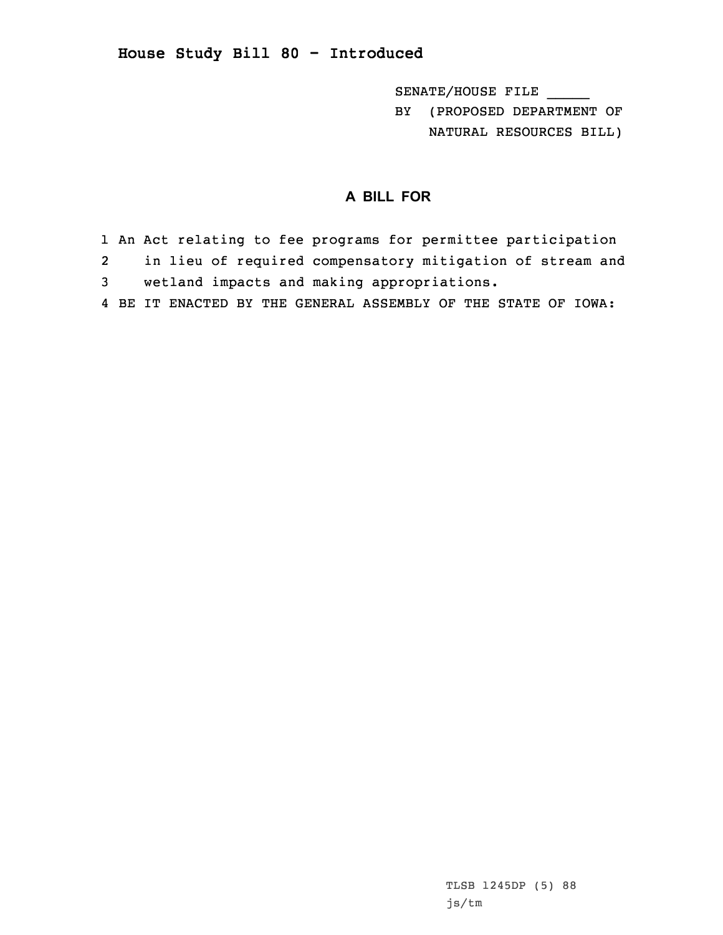## **House Study Bill 80 - Introduced**

SENATE/HOUSE FILE \_\_\_\_\_

BY (PROPOSED DEPARTMENT OF NATURAL RESOURCES BILL)

## **A BILL FOR**

- 1 An Act relating to fee programs for permittee participation
- 2 in lieu of required compensatory mitigation of stream and 3 wetland impacts and making appropriations.
- 4 BE IT ENACTED BY THE GENERAL ASSEMBLY OF THE STATE OF IOWA: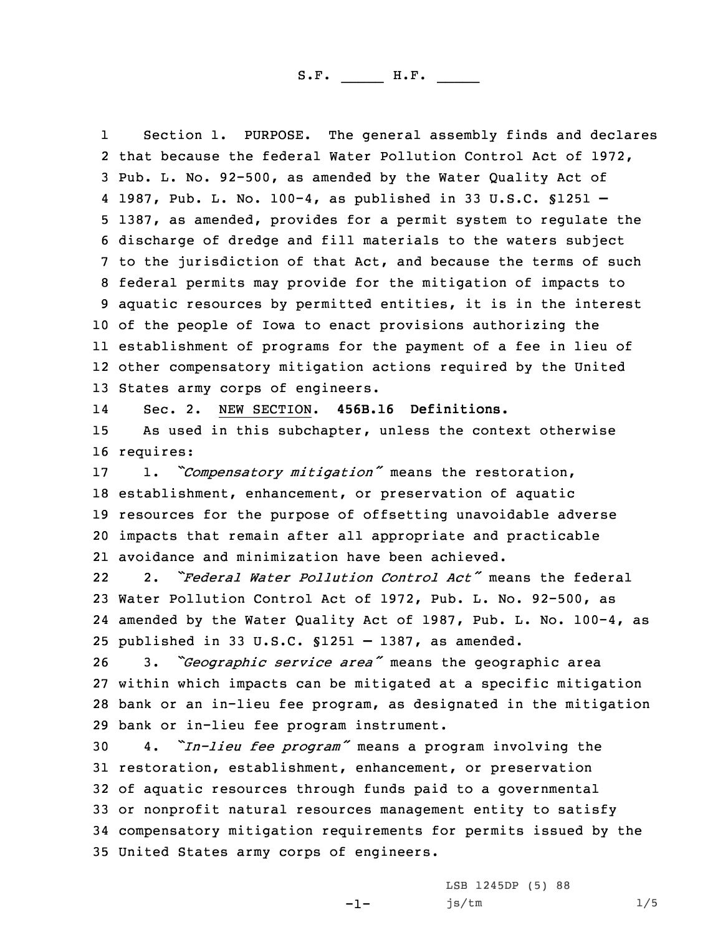S.F. \_\_\_\_\_ H.F. \_\_\_\_

1 Section 1. PURPOSE. The general assembly finds and declares that because the federal Water Pollution Control Act of 1972, Pub. L. No. 92-500, as amended by the Water Quality Act of 1987, Pub. L. No. 100-4, as published in 33 U.S.C. §1251 – 1387, as amended, provides for <sup>a</sup> permit system to regulate the discharge of dredge and fill materials to the waters subject to the jurisdiction of that Act, and because the terms of such federal permits may provide for the mitigation of impacts to aquatic resources by permitted entities, it is in the interest of the people of Iowa to enact provisions authorizing the establishment of programs for the payment of <sup>a</sup> fee in lieu of other compensatory mitigation actions required by the United States army corps of engineers.

14 Sec. 2. NEW SECTION. **456B.16 Definitions.** 15 As used in this subchapter, unless the context otherwise 16 requires:

 1. *"Compensatory mitigation"* means the restoration, establishment, enhancement, or preservation of aquatic resources for the purpose of offsetting unavoidable adverse impacts that remain after all appropriate and practicable avoidance and minimization have been achieved.

22 2. *"Federal Water Pollution Control Act"* means the federal 23 Water Pollution Control Act of 1972, Pub. L. No. 92-500, as 24 amended by the Water Quality Act of 1987, Pub. L. No. 100-4, as 25 published in 33 U.S.C. §1251 – 1387, as amended.

 3. *"Geographic service area"* means the geographic area within which impacts can be mitigated at <sup>a</sup> specific mitigation bank or an in-lieu fee program, as designated in the mitigation bank or in-lieu fee program instrument.

 4. *"In-lieu fee program"* means <sup>a</sup> program involving the restoration, establishment, enhancement, or preservation of aquatic resources through funds paid to <sup>a</sup> governmental or nonprofit natural resources management entity to satisfy compensatory mitigation requirements for permits issued by the United States army corps of engineers.

 $-1-$ 

LSB 1245DP (5) 88 js/tm 1/5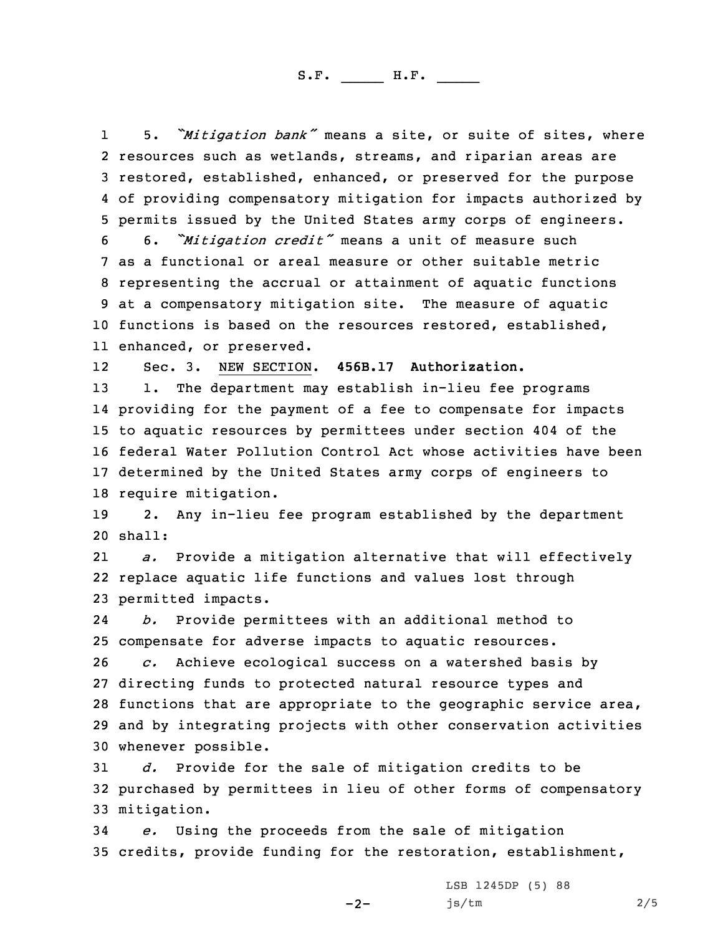S.F. \_\_\_\_\_ H.F. \_\_\_\_

1 5. *"Mitigation bank"* means <sup>a</sup> site, or suite of sites, where resources such as wetlands, streams, and riparian areas are restored, established, enhanced, or preserved for the purpose of providing compensatory mitigation for impacts authorized by permits issued by the United States army corps of engineers.

 6. *"Mitigation credit"* means <sup>a</sup> unit of measure such as <sup>a</sup> functional or areal measure or other suitable metric representing the accrual or attainment of aquatic functions at <sup>a</sup> compensatory mitigation site. The measure of aquatic functions is based on the resources restored, established, enhanced, or preserved.

12Sec. 3. NEW SECTION. **456B.17 Authorization.**

13 1. The department may establish in-lieu fee programs providing for the payment of <sup>a</sup> fee to compensate for impacts to aquatic resources by permittees under section 404 of the federal Water Pollution Control Act whose activities have been determined by the United States army corps of engineers to require mitigation.

19 2. Any in-lieu fee program established by the department 20 shall:

21 *a.* Provide <sup>a</sup> mitigation alternative that will effectively 22 replace aquatic life functions and values lost through 23 permitted impacts.

24 *b.* Provide permittees with an additional method to 25 compensate for adverse impacts to aquatic resources.

 *c.* Achieve ecological success on <sup>a</sup> watershed basis by directing funds to protected natural resource types and functions that are appropriate to the geographic service area, and by integrating projects with other conservation activities whenever possible.

31 *d.* Provide for the sale of mitigation credits to be 32 purchased by permittees in lieu of other forms of compensatory 33 mitigation.

34 *e.* Using the proceeds from the sale of mitigation 35 credits, provide funding for the restoration, establishment,

 $-2-$ 

LSB 1245DP (5) 88 js/tm 2/5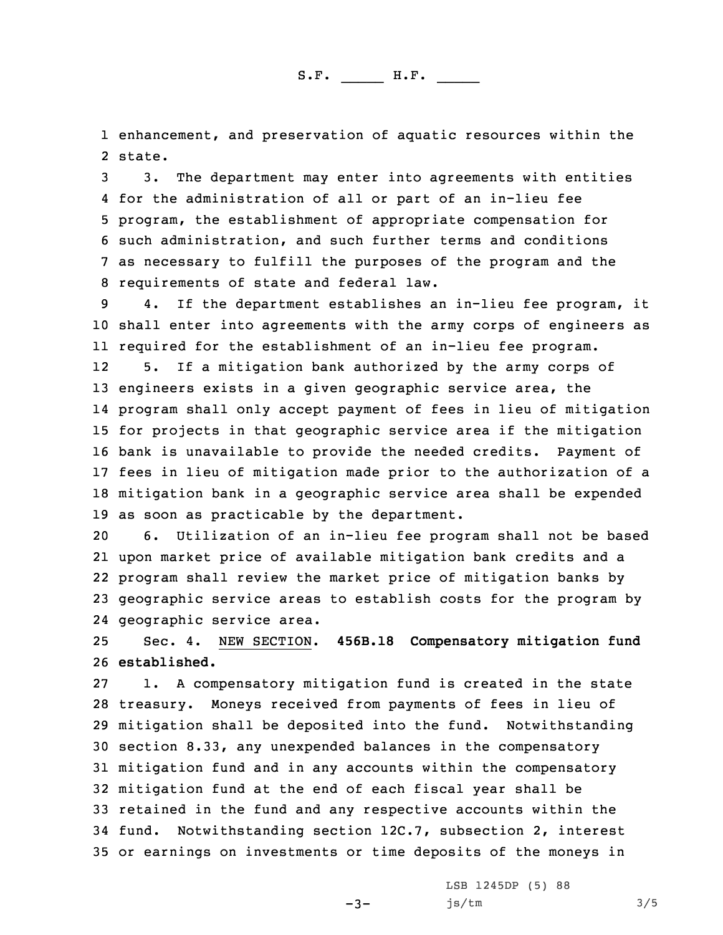1 enhancement, and preservation of aquatic resources within the 2 state.

 3. The department may enter into agreements with entities for the administration of all or part of an in-lieu fee program, the establishment of appropriate compensation for such administration, and such further terms and conditions as necessary to fulfill the purposes of the program and the requirements of state and federal law.

 4. If the department establishes an in-lieu fee program, it shall enter into agreements with the army corps of engineers as required for the establishment of an in-lieu fee program. 12 5. If <sup>a</sup> mitigation bank authorized by the army corps of engineers exists in <sup>a</sup> given geographic service area, the program shall only accept payment of fees in lieu of mitigation for projects in that geographic service area if the mitigation bank is unavailable to provide the needed credits. Payment of fees in lieu of mitigation made prior to the authorization of <sup>a</sup> mitigation bank in <sup>a</sup> geographic service area shall be expended as soon as practicable by the department.

 6. Utilization of an in-lieu fee program shall not be based upon market price of available mitigation bank credits and <sup>a</sup> program shall review the market price of mitigation banks by geographic service areas to establish costs for the program by geographic service area.

25 Sec. 4. NEW SECTION. **456B.18 Compensatory mitigation fund** 26 **established.**

 1. <sup>A</sup> compensatory mitigation fund is created in the state treasury. Moneys received from payments of fees in lieu of mitigation shall be deposited into the fund. Notwithstanding section 8.33, any unexpended balances in the compensatory mitigation fund and in any accounts within the compensatory mitigation fund at the end of each fiscal year shall be retained in the fund and any respective accounts within the fund. Notwithstanding section 12C.7, subsection 2, interest or earnings on investments or time deposits of the moneys in

 $-3-$ 

LSB 1245DP (5) 88 js/tm 3/5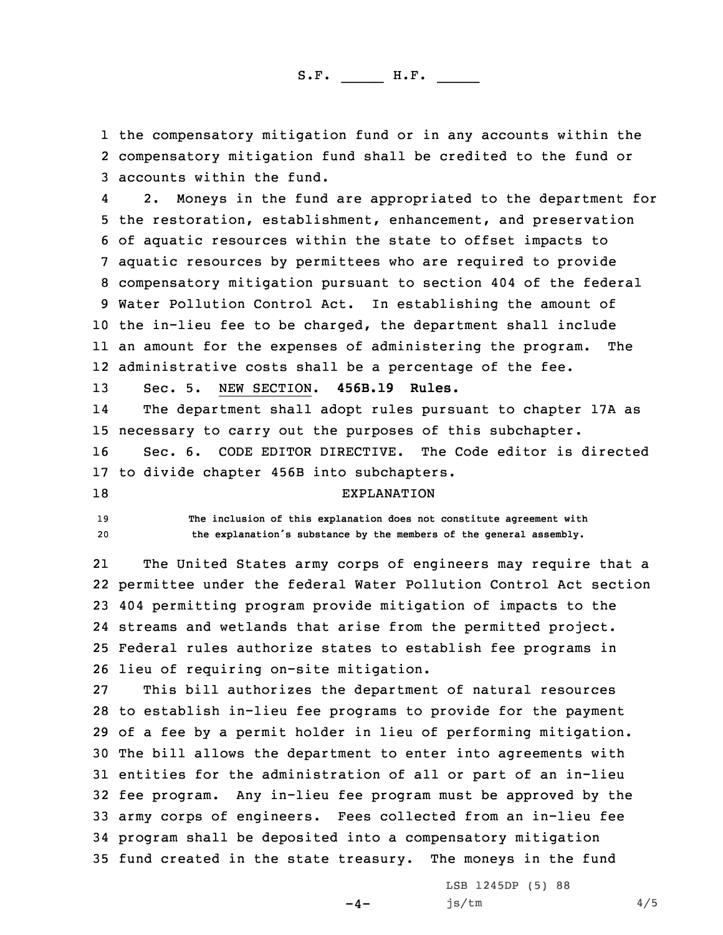S.F. \_\_\_\_\_ H.F. \_\_\_\_

1 the compensatory mitigation fund or in any accounts within the 2 compensatory mitigation fund shall be credited to the fund or 3 accounts within the fund.

4 2. Moneys in the fund are appropriated to the department for the restoration, establishment, enhancement, and preservation of aquatic resources within the state to offset impacts to aquatic resources by permittees who are required to provide compensatory mitigation pursuant to section 404 of the federal Water Pollution Control Act. In establishing the amount of the in-lieu fee to be charged, the department shall include an amount for the expenses of administering the program. The administrative costs shall be <sup>a</sup> percentage of the fee.

13 Sec. 5. NEW SECTION. **456B.19 Rules.**

14 The department shall adopt rules pursuant to chapter 17A as 15 necessary to carry out the purposes of this subchapter.

16 Sec. 6. CODE EDITOR DIRECTIVE. The Code editor is directed 17 to divide chapter 456B into subchapters.

## 18 EXPLANATION

19 **The inclusion of this explanation does not constitute agreement with** <sup>20</sup> **the explanation's substance by the members of the general assembly.**

21 The United States army corps of engineers may require that <sup>a</sup> permittee under the federal Water Pollution Control Act section 404 permitting program provide mitigation of impacts to the streams and wetlands that arise from the permitted project. Federal rules authorize states to establish fee programs in lieu of requiring on-site mitigation.

 This bill authorizes the department of natural resources to establish in-lieu fee programs to provide for the payment of <sup>a</sup> fee by <sup>a</sup> permit holder in lieu of performing mitigation. The bill allows the department to enter into agreements with entities for the administration of all or part of an in-lieu fee program. Any in-lieu fee program must be approved by the army corps of engineers. Fees collected from an in-lieu fee program shall be deposited into <sup>a</sup> compensatory mitigation fund created in the state treasury. The moneys in the fund

 $-4-$ 

LSB 1245DP (5) 88 js/tm 4/5